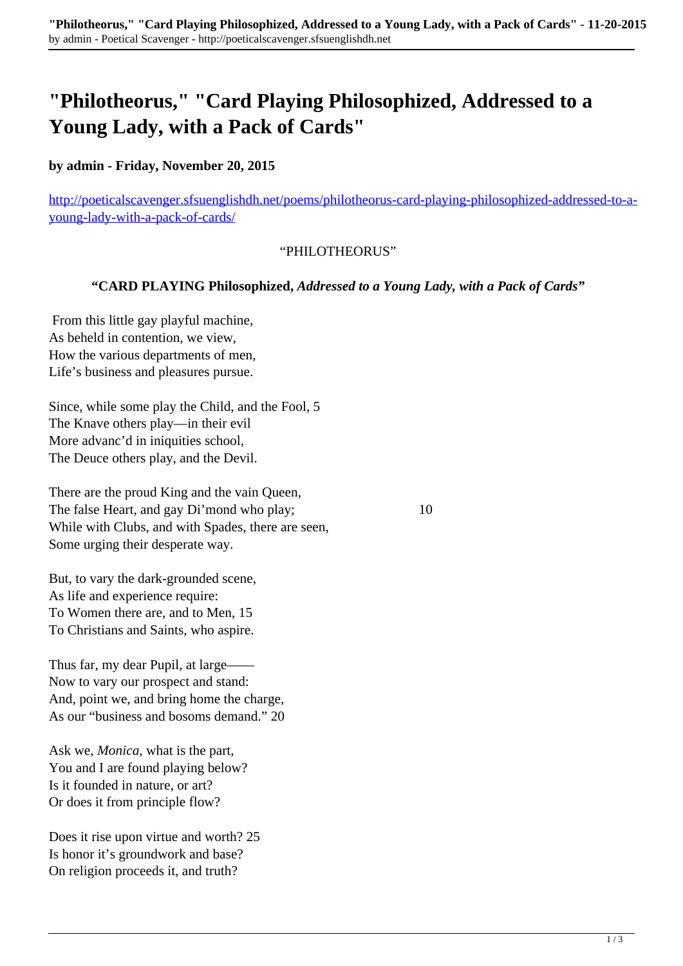# **"Philotheorus," "Card Playing Philosophized, Addressed to a Young Lady, with a Pack of Cards"**

### **by admin - Friday, November 20, 2015**

[http://poeticalscavenger.sfsuenglishdh.net/poems/philotheorus-card-playing-philosophized-addressed-to-a](http://poeticalscavenger.sfsuenglishdh.net/poems/philotheorus-card-playing-philosophized-addressed-to-a-young-lady-with-a-pack-of-cards/)[young-lady-with-a-pack-of-cards/](http://poeticalscavenger.sfsuenglishdh.net/poems/philotheorus-card-playing-philosophized-addressed-to-a-young-lady-with-a-pack-of-cards/)

#### "PHILOTHEORUS"

#### **"CARD PLAYING Philosophized,** *Addressed to a Young Lady, with a Pack of Cards"*

 From this little gay playful machine, As beheld in contention, we view, How the various departments of men, Life's business and pleasures pursue.

Since, while some play the Child, and the Fool, 5 The Knave others play—in their evil More advanc'd in iniquities school, The Deuce others play, and the Devil.

There are the proud King and the vain Queen, The false Heart, and gay Di'mond who play; 10 While with Clubs, and with Spades, there are seen, Some urging their desperate way.

But, to vary the dark-grounded scene, As life and experience require: To Women there are, and to Men, 15 To Christians and Saints, who aspire.

Thus far, my dear Pupil, at large—— Now to vary our prospect and stand: And, point we, and bring home the charge, As our "business and bosoms demand." 20

Ask we, *Monica,* what is the part, You and I are found playing below? Is it founded in nature, or art? Or does it from principle flow?

Does it rise upon virtue and worth? 25 Is honor it's groundwork and base? On religion proceeds it, and truth?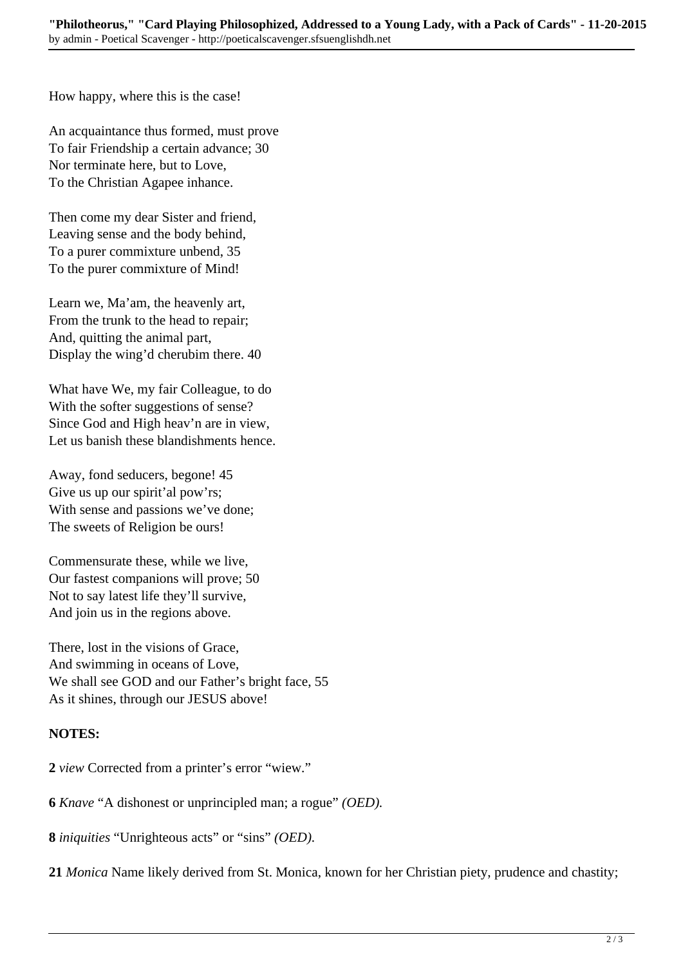How happy, where this is the case!

An acquaintance thus formed, must prove To fair Friendship a certain advance; 30 Nor terminate here, but to Love, To the Christian Agapee inhance.

Then come my dear Sister and friend, Leaving sense and the body behind, To a purer commixture unbend, 35 To the purer commixture of Mind!

Learn we, Ma'am, the heavenly art, From the trunk to the head to repair; And, quitting the animal part, Display the wing'd cherubim there. 40

What have We, my fair Colleague, to do With the softer suggestions of sense? Since God and High heav'n are in view, Let us banish these blandishments hence.

Away, fond seducers, begone! 45 Give us up our spirit'al pow'rs; With sense and passions we've done; The sweets of Religion be ours!

Commensurate these, while we live, Our fastest companions will prove; 50 Not to say latest life they'll survive, And join us in the regions above.

There, lost in the visions of Grace, And swimming in oceans of Love, We shall see GOD and our Father's bright face, 55 As it shines, through our JESUS above!

## **NOTES:**

**2** *view* Corrected from a printer's error "wiew."

**6** *Knave* "A dishonest or unprincipled man; a rogue" *(OED).*

**8** *iniquities* "Unrighteous acts" or "sins" *(OED).*

**21** *Monica* Name likely derived from St. Monica, known for her Christian piety, prudence and chastity;